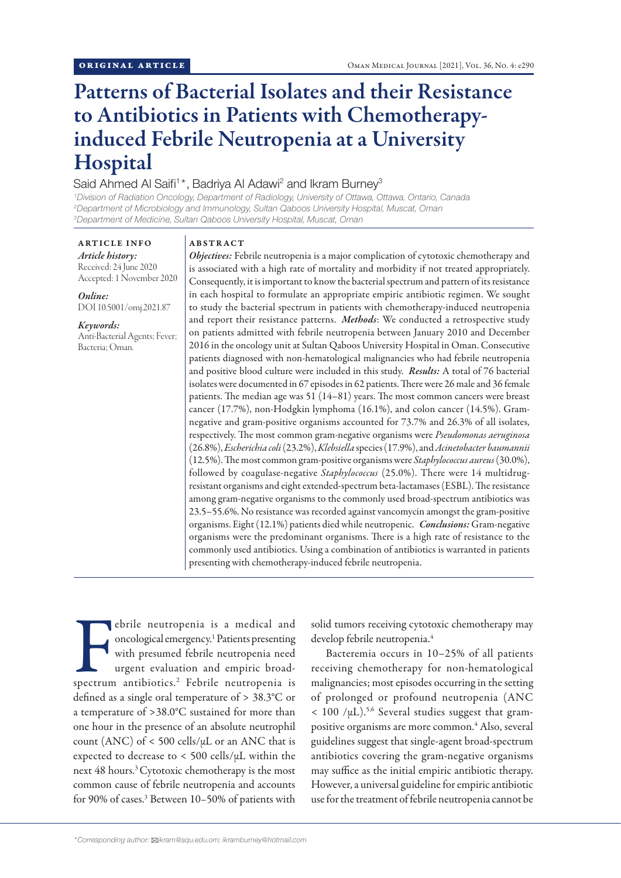# Patterns of Bacterial Isolates and their Resistance to Antibiotics in Patients with Chemotherapyinduced Febrile Neutropenia at a University Hospital

# Said Ahmed Al Saifi<sup>1\*</sup>, Badriya Al Adawi<sup>2</sup> and Ikram Burney<sup>3</sup>

*1 Division of Radiation Oncology, Department of Radiology, University of Ottawa, Ottawa, Ontario, Canada 2 Department of Microbiology and Immunology, Sultan Qaboos University Hospital, Muscat, Oman 3 Department of Medicine, Sultan Qaboos University Hospital, Muscat, Oman*

ARTICLE INFO *Article history:* Received: 24 June 2020 Accepted: 1 November 2020

*Online:* DOI 10.5001/omj.2021.87

# *Keywords:*

Anti-Bacterial Agents; Fever; Bacteria; Oman.

### ABSTRACT

*Objectives:* Febrile neutropenia is a major complication of cytotoxic chemotherapy and is associated with a high rate of mortality and morbidity if not treated appropriately. Consequently, it is important to know the bacterial spectrum and pattern of its resistance in each hospital to formulate an appropriate empiric antibiotic regimen. We sought to study the bacterial spectrum in patients with chemotherapy-induced neutropenia and report their resistance patterns. *Methods*: We conducted a retrospective study on patients admitted with febrile neutropenia between January 2010 and December 2016 in the oncology unit at Sultan Qaboos University Hospital in Oman. Consecutive patients diagnosed with non-hematological malignancies who had febrile neutropenia and positive blood culture were included in this study. *Results:* A total of 76 bacterial isolates were documented in 67 episodes in 62 patients. There were 26 male and 36 female patients. The median age was 51 (14–81) years. The most common cancers were breast cancer (17.7%), non-Hodgkin lymphoma (16.1%), and colon cancer (14.5%). Gramnegative and gram-positive organisms accounted for 73.7% and 26.3% of all isolates, respectively. The most common gram-negative organisms were *Pseudomonas aeruginosa* (26.8%), *Escherichia coli* (23.2%), *Klebsiella* species (17.9%), and *Acinetobacter baumannii* (12.5%). The most common gram-positive organisms were *Staphylococcus aureus* (30.0%), followed by coagulase-negative *Staphylococcus* (25.0%). There were 14 multidrugresistant organisms and eight extended-spectrum beta-lactamases (ESBL). The resistance among gram-negative organisms to the commonly used broad-spectrum antibiotics was 23.5–55.6%. No resistance was recorded against vancomycin amongst the gram-positive organisms. Eight (12.1%) patients died while neutropenic. *Conclusions:* Gram-negative organisms were the predominant organisms. There is a high rate of resistance to the commonly used antibiotics. Using a combination of antibiotics is warranted in patients presenting with chemotherapy-induced febrile neutropenia.

Febrile neutropenia is a medical and oncological emergency.<sup>1</sup> Patients presenting with presumed febrile neutropenia need urgent evaluation and empiric broadspectrum antibiotics.<sup>2</sup> Febrile neutropenia is ebrile neutropenia is a medical and oncological emergency.1 Patients presenting with presumed febrile neutropenia need urgent evaluation and empiric broaddefined as a single oral temperature of > 38.3°C or a temperature of >38.0°C sustained for more than one hour in the presence of an absolute neutrophil count (ANC) of  $<$  500 cells/ $\mu$ L or an ANC that is expected to decrease to < 500 cells/µL within the next 48 hours.<sup>3</sup> Cytotoxic chemotherapy is the most common cause of febrile neutropenia and accounts for 90% of cases.<sup>3</sup> Between 10-50% of patients with

solid tumors receiving cytotoxic chemotherapy may develop febrile neutropenia.4

Bacteremia occurs in 10–25% of all patients receiving chemotherapy for non-hematological malignancies; most episodes occurring in the setting of prolonged or profound neutropenia (ANC  $< 100$  / $\mu$ L).<sup>5,6</sup> Several studies suggest that grampositive organisms are more common.<sup>4</sup> Also, several guidelines suggest that single-agent broad-spectrum antibiotics covering the gram-negative organisms may suffice as the initial empiric antibiotic therapy. However, a universal guideline for empiric antibiotic use for the treatment of febrile neutropenia cannot be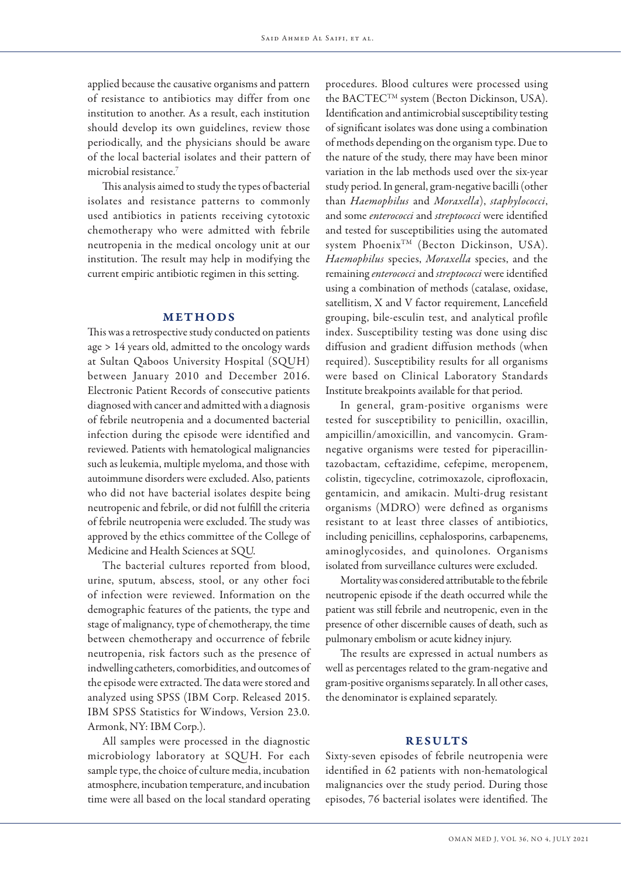applied because the causative organisms and pattern of resistance to antibiotics may differ from one institution to another. As a result, each institution should develop its own guidelines, review those periodically, and the physicians should be aware of the local bacterial isolates and their pattern of microbial resistance.7

This analysis aimed to study the types of bacterial isolates and resistance patterns to commonly used antibiotics in patients receiving cytotoxic chemotherapy who were admitted with febrile neutropenia in the medical oncology unit at our institution. The result may help in modifying the current empiric antibiotic regimen in this setting.

# METHODS

This was a retrospective study conducted on patients age > 14 years old, admitted to the oncology wards at Sultan Qaboos University Hospital (SQUH) between January 2010 and December 2016. Electronic Patient Records of consecutive patients diagnosed with cancer and admitted with a diagnosis of febrile neutropenia and a documented bacterial infection during the episode were identified and reviewed. Patients with hematological malignancies such as leukemia, multiple myeloma, and those with autoimmune disorders were excluded. Also, patients who did not have bacterial isolates despite being neutropenic and febrile, or did not fulfill the criteria of febrile neutropenia were excluded. The study was approved by the ethics committee of the College of Medicine and Health Sciences at SQU.

The bacterial cultures reported from blood, urine, sputum, abscess, stool, or any other foci of infection were reviewed. Information on the demographic features of the patients, the type and stage of malignancy, type of chemotherapy, the time between chemotherapy and occurrence of febrile neutropenia, risk factors such as the presence of indwelling catheters, comorbidities, and outcomes of the episode were extracted. The data were stored and analyzed using SPSS (IBM Corp. Released 2015. IBM SPSS Statistics for Windows, Version 23.0. Armonk, NY: IBM Corp.).

All samples were processed in the diagnostic microbiology laboratory at SQUH. For each sample type, the choice of culture media, incubation atmosphere, incubation temperature, and incubation time were all based on the local standard operating

procedures. Blood cultures were processed using the BACTEC™ system (Becton Dickinson, USA). Identification and antimicrobial susceptibility testing of significant isolates was done using a combination of methods depending on the organism type. Due to the nature of the study, there may have been minor variation in the lab methods used over the six-year study period. In general, gram-negative bacilli (other than *Haemophilus* and *Moraxella*), *staphylococci*, and some *enterococci* and *streptococci* were identified and tested for susceptibilities using the automated system PhoenixTM (Becton Dickinson, USA). *Haemophilus* species, *Moraxella* species, and the remaining *enterococci* and *streptococci* were identified using a combination of methods (catalase, oxidase, satellitism, X and V factor requirement, Lancefield grouping, bile-esculin test, and analytical profile index. Susceptibility testing was done using disc diffusion and gradient diffusion methods (when required). Susceptibility results for all organisms were based on Clinical Laboratory Standards Institute breakpoints available for that period.

In general, gram-positive organisms were tested for susceptibility to penicillin, oxacillin, ampicillin/amoxicillin, and vancomycin. Gramnegative organisms were tested for piperacillintazobactam, ceftazidime, cefepime, meropenem, colistin, tigecycline, cotrimoxazole, ciprofloxacin, gentamicin, and amikacin. Multi-drug resistant organisms (MDRO) were defined as organisms resistant to at least three classes of antibiotics, including penicillins, cephalosporins, carbapenems, aminoglycosides, and quinolones. Organisms isolated from surveillance cultures were excluded.

Mortality was considered attributable to the febrile neutropenic episode if the death occurred while the patient was still febrile and neutropenic, even in the presence of other discernible causes of death, such as pulmonary embolism or acute kidney injury.

The results are expressed in actual numbers as well as percentages related to the gram-negative and gram-positive organisms separately. In all other cases, the denominator is explained separately.

# **RESULTS**

Sixty-seven episodes of febrile neutropenia were identified in 62 patients with non-hematological malignancies over the study period. During those episodes, 76 bacterial isolates were identified. The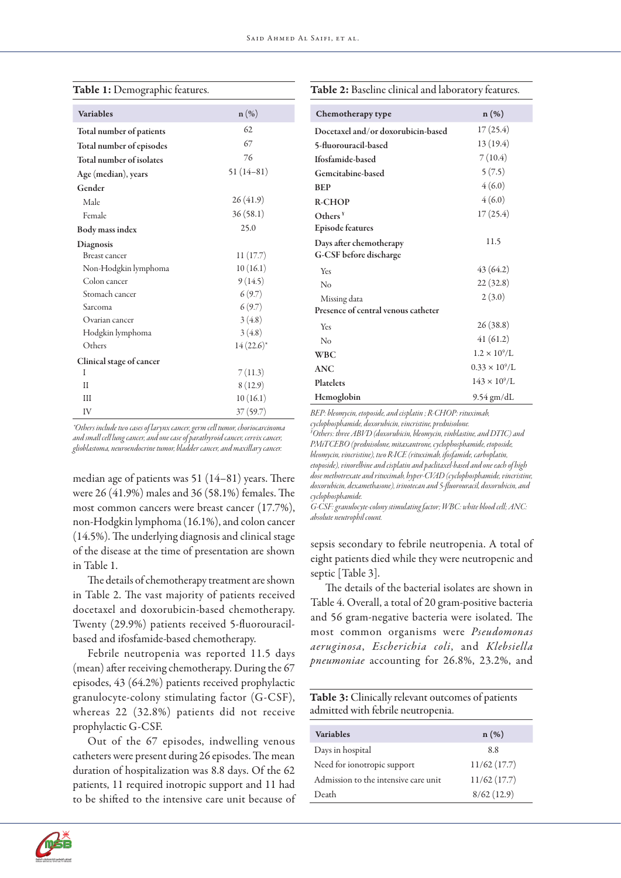| <b>Variables</b>         | n(%)           |
|--------------------------|----------------|
| Total number of patients | 62             |
| Total number of episodes | 67             |
| Total number of isolates | 76             |
| Age (median), years      | $51(14-81)$    |
| Gender                   |                |
| Male                     | 26(41.9)       |
| Female                   | 36(58.1)       |
| <b>Body mass index</b>   | 25.0           |
| Diagnosis                |                |
| Breast cancer            | 11(17.7)       |
| Non-Hodgkin lymphoma     | 10(16.1)       |
| Colon cancer             | 9(14.5)        |
| Stomach cancer           | 6(9.7)         |
| Sarcoma                  | 6(9.7)         |
| Ovarian cancer           | 3(4.8)         |
| Hodgkin lymphoma         | 3(4.8)         |
| Others                   | $14(22.6)^{*}$ |
| Clinical stage of cancer |                |
| I                        | 7(11.3)        |
| П                        | 8(12.9)        |
| Ш                        | 10(16.1)       |
| IV                       | 37(59.7)       |

# Table 1: Demographic features.

# Table 2: Baseline clinical and laboratory features.

| Chemotherapy type                   | n (%)                   |
|-------------------------------------|-------------------------|
| Docetaxel and/or doxorubicin-based  | 17(25.4)                |
| 5-fluorouracil-based                | 13 (19.4)               |
| Ifosfamide-based                    | 7(10.4)                 |
| Gemcitabine-based                   | 5(7.5)                  |
| <b>BEP</b>                          | 4(6.0)                  |
| <b>R-CHOP</b>                       | 4(6.0)                  |
| $O$ thers <sup><math>Y</math></sup> | 17(25.4)                |
| <b>Episode features</b>             |                         |
| Days after chemotherapy             | 11.5                    |
| G-CSF before discharge              |                         |
| Yes                                 | 43 (64.2)               |
| No                                  | 22(32.8)                |
| Missing data                        | 2(3.0)                  |
| Presence of central venous catheter |                         |
| Yes                                 | 26(38.8)                |
| No                                  | 41(61.2)                |
| <b>WBC</b>                          | $1.2 \times 10^9$ /L    |
| <b>ANC</b>                          | $0.33 \times 10^{9}$ /L |
| Platelets                           | $143 \times 10^{9}$ /L  |
| Hemoglobin                          | 9.54 gm/dL              |

*\*Others include two cases of larynx cancer, germ cell tumor, choriocarcinoma and small cell lung cancer, and one case of parathyroid cancer, cervix cancer, glioblastoma, neuroendocrine tumor, bladder cancer, and maxillary cancer.*

median age of patients was 51 (14–81) years. There were 26 (41.9%) males and 36 (58.1%) females. The most common cancers were breast cancer (17.7%), non-Hodgkin lymphoma (16.1%), and colon cancer (14.5%). The underlying diagnosis and clinical stage of the disease at the time of presentation are shown in Table 1.

The details of chemotherapy treatment are shown in Table 2. The vast majority of patients received docetaxel and doxorubicin-based chemotherapy. Twenty (29.9%) patients received 5-fluorouracilbased and ifosfamide-based chemotherapy.

Febrile neutropenia was reported 11.5 days (mean) after receiving chemotherapy. During the 67 episodes, 43 (64.2%) patients received prophylactic granulocyte-colony stimulating factor (G-CSF), whereas 22 (32.8%) patients did not receive prophylactic G-CSF.

Out of the 67 episodes, indwelling venous catheters were present during 26 episodes. The mean duration of hospitalization was 8.8 days. Of the 62 patients, 11 required inotropic support and 11 had to be shifted to the intensive care unit because of *BEP: bleomycin, etoposide, and cisplatin ; R-CHOP: rituximab, cyclophosphamide, doxorubicin, vincristine, prednisolone.*

*¥ Others: three ABVD (doxorubicin, bleomycin, vinblastine, and DTIC) and PMiTCEBO (prednisolone, mitaxantrone, cyclophosphamide, etoposide, bleomycin, vincristine), two R-ICE (rituximab, ifosfamide, carboplatin, etoposide), vinorelbine and cisplatin and paclitaxel-based and one each of high dose methotrexate and rituximab, hyper-CVAD (cyclophosphamide, vincristine, doxorubicin, dexamethasone), irinotecan and 5-fluorouracil, doxorubicin, and cyclophosphamide.*

*G-CSF: granulocyte-colony stimulating factor; WBC: white blood cell; ANC: absolute neutrophil count.*

sepsis secondary to febrile neutropenia. A total of eight patients died while they were neutropenic and septic [Table 3].

The details of the bacterial isolates are shown in Table 4. Overall, a total of 20 gram-positive bacteria and 56 gram-negative bacteria were isolated. The most common organisms were *Pseudomonas aeruginosa*, *Escherichia coli*, and *Klebsiella pneumoniae* accounting for 26.8%, 23.2%, and

Table 3: Clinically relevant outcomes of patients admitted with febrile neutropenia.

| <b>Variables</b>                     | $n(\%)$     |
|--------------------------------------|-------------|
| Days in hospital                     | 8.8         |
| Need for ionotropic support          | 11/62(17.7) |
| Admission to the intensive care unit | 11/62(17.7) |
| Death                                | 8/62(12.9)  |

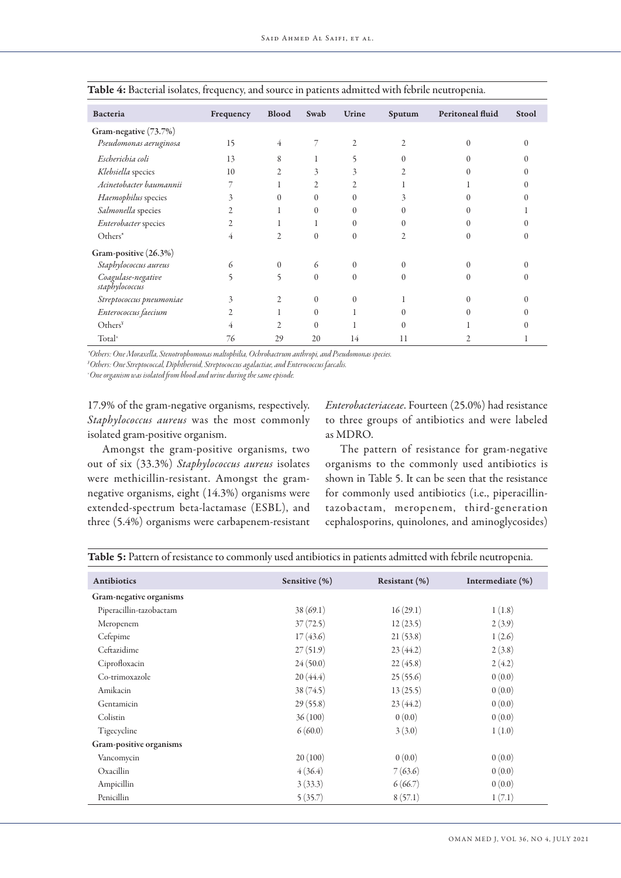| Bacteria                             | Frequency      | <b>Blood</b>   | Swab           | Urine          | Sputum         | Peritoneal fluid | Stool |
|--------------------------------------|----------------|----------------|----------------|----------------|----------------|------------------|-------|
| Gram-negative (73.7%)                |                |                |                |                |                |                  |       |
| Pseudomonas aeruginosa               | 15             | 4              | 7              | $\overline{2}$ | 2              | 0                | 0     |
| Escherichia coli                     | 13             | 8              |                | 5              | $\Omega$       |                  |       |
| Klebsiella species                   | 10             | $\overline{2}$ | 3              | 3              | 2              |                  |       |
| Acinetobacter baumannii              | 7              |                | $\overline{c}$ | $\overline{2}$ |                |                  |       |
| Haemophilus species                  | 3              | $\Omega$       | $\theta$       | $\theta$       | 3              |                  |       |
| Salmonella species                   | 2              |                | $\theta$       | $\Omega$       | 0              | 0                |       |
| Enterobacter species                 | $\overline{c}$ |                |                | $\Omega$       | 0              |                  |       |
| Others*                              | 4              | $\overline{c}$ | $\overline{0}$ | $\theta$       | $\overline{c}$ |                  | 0     |
| Gram-positive (26.3%)                |                |                |                |                |                |                  |       |
| Staphylococcus aureus                | 6              | $\Omega$       | 6              | $\Omega$       | $\Omega$       |                  |       |
| Coagulase-negative<br>staphylococcus | 5              | 5              | $\theta$       | $\Omega$       | $\Omega$       |                  |       |
| Streptococcus pneumoniae             | 3              | $\overline{c}$ | $\theta$       | $\Omega$       |                | 0                |       |
| Enterococcus faecium                 | $\overline{c}$ |                | $\theta$       |                | $\Omega$       |                  |       |
| Others <sup>Y</sup>                  | 4              | $\mathfrak{D}$ | $\Omega$       |                | 0              |                  |       |
| Total <sup>×</sup>                   | 76             | 29             | 20             | 14             | 11             |                  |       |

Table 4: Bacterial isolates, frequency, and source in patients admitted with febrile neutropenia.

*\*Others: One Moraxella, Stenotrophomonas maltophilia, Ochrobactrum anthropi, and Pseudomonas species.*

*¥ Others: One Streptococcal, Diphtheroid, Streptococcus agalactiae, and Enterococcus faecalis.*

*× One organism was isolated from blood and urine during the same episode.*

17.9% of the gram-negative organisms, respectively. *Staphylococcus aureus* was the most commonly isolated gram-positive organism.

*Enterobacteriaceae*. Fourteen (25.0%) had resistance to three groups of antibiotics and were labeled as MDRO.

Amongst the gram-positive organisms, two out of six (33.3%) *Staphylococcus aureus* isolates were methicillin-resistant. Amongst the gramnegative organisms, eight (14.3%) organisms were extended-spectrum beta-lactamase (ESBL), and three (5.4%) organisms were carbapenem-resistant The pattern of resistance for gram-negative organisms to the commonly used antibiotics is shown in Table 5. It can be seen that the resistance for commonly used antibiotics (i.e., piperacillintazobactam, meropenem, third-generation cephalosporins, quinolones, and aminoglycosides)

| Antibiotics             | Sensitive (%) | Resistant (%) | Intermediate (%) |
|-------------------------|---------------|---------------|------------------|
| Gram-negative organisms |               |               |                  |
| Piperacillin-tazobactam | 38(69.1)      | 16(29.1)      | 1(1.8)           |
| Meropenem               | 37(72.5)      | 12(23.5)      | 2(3.9)           |
| Cefepime                | 17(43.6)      | 21(53.8)      | 1(2.6)           |
| Ceftazidime             | 27(51.9)      | 23(44.2)      | 2(3.8)           |
| Ciprofloxacin           | 24(50.0)      | 22(45.8)      | 2(4.2)           |
| Co-trimoxazole          | 20(44.4)      | 25(55.6)      | 0(0.0)           |
| Amikacin                | 38(74.5)      | 13(25.5)      | 0(0.0)           |
| Gentamicin              | 29(55.8)      | 23(44.2)      | 0(0.0)           |
| Colistin                | 36(100)       | 0(0.0)        | 0(0.0)           |
| Tigecycline             | 6(60.0)       | 3(3.0)        | 1(1.0)           |
| Gram-positive organisms |               |               |                  |
| Vancomycin              | 20(100)       | 0(0.0)        | 0(0.0)           |
| Oxacillin               | 4(36.4)       | 7(63.6)       | 0(0.0)           |
| Ampicillin              | 3(33.3)       | 6(66.7)       | 0(0.0)           |
| Penicillin              | 5(35.7)       | 8(57.1)       | 1(7.1)           |

Table 5: Pattern of resistance to commonly used antibiotics in patients admitted with febrile neutropenia.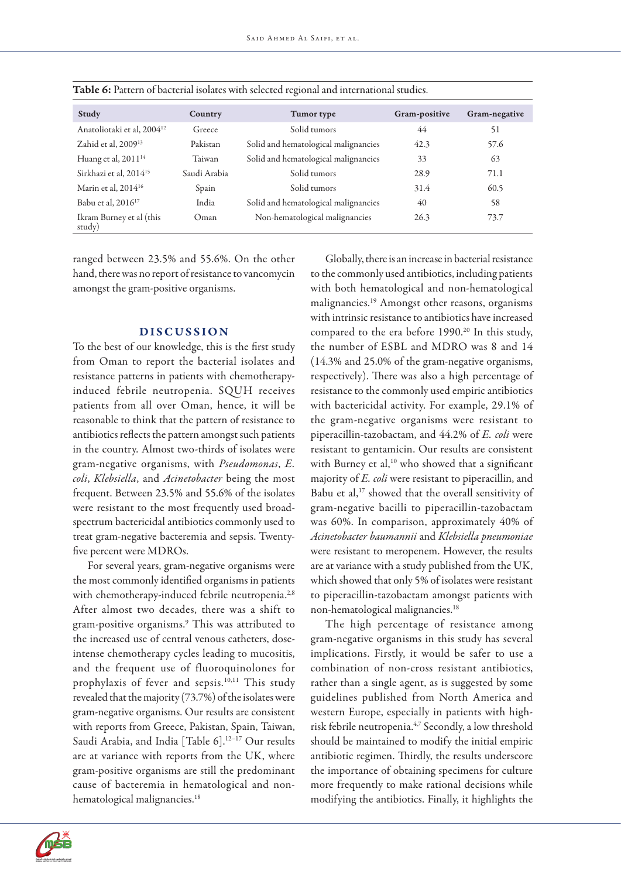| Study                                  | Country      | Tumor type                           | Gram-positive | Gram-negative |
|----------------------------------------|--------------|--------------------------------------|---------------|---------------|
| Anatoliotaki et al, 2004 <sup>12</sup> | Greece       | Solid tumors                         | 44            | 51            |
| Zahid et al, 2009 <sup>13</sup>        | Pakistan     | Solid and hematological malignancies | 42.3          | 57.6          |
| Huang et al, 2011 <sup>14</sup>        | Taiwan       | Solid and hematological malignancies | 33            | 63            |
| Sirkhazi et al, 2014 <sup>15</sup>     | Saudi Arabia | Solid tumors                         | 28.9          | 71.1          |
| Marin et al, $2014^{16}$               | Spain        | Solid tumors                         | 31.4          | 60.5          |
| Babu et al, 2016 <sup>17</sup>         | India        | Solid and hematological malignancies | 40            | 58            |
| Ikram Burney et al (this<br>study)     | Oman         | Non-hematological malignancies       | 26.3          | 73.7          |

| Table 6: Pattern of bacterial isolates with selected regional and international studies. |  |  |  |  |
|------------------------------------------------------------------------------------------|--|--|--|--|
|------------------------------------------------------------------------------------------|--|--|--|--|

ranged between 23.5% and 55.6%. On the other hand, there was no report of resistance to vancomycin amongst the gram-positive organisms.

## DISCUSSION

To the best of our knowledge, this is the first study from Oman to report the bacterial isolates and resistance patterns in patients with chemotherapyinduced febrile neutropenia. SQUH receives patients from all over Oman, hence, it will be reasonable to think that the pattern of resistance to antibiotics reflects the pattern amongst such patients in the country. Almost two-thirds of isolates were gram-negative organisms, with *Pseudomonas*, *E. coli*, *Klebsiella*, and *Acinetobacter* being the most frequent. Between 23.5% and 55.6% of the isolates were resistant to the most frequently used broadspectrum bactericidal antibiotics commonly used to treat gram-negative bacteremia and sepsis. Twentyfive percent were MDROs.

For several years, gram-negative organisms were the most commonly identified organisms in patients with chemotherapy-induced febrile neutropenia.<sup>2,8</sup> After almost two decades, there was a shift to gram-positive organisms.9 This was attributed to the increased use of central venous catheters, doseintense chemotherapy cycles leading to mucositis, and the frequent use of fluoroquinolones for prophylaxis of fever and sepsis.10,11 This study revealed that the majority (73.7%) of the isolates were gram-negative organisms. Our results are consistent with reports from Greece, Pakistan, Spain, Taiwan, Saudi Arabia, and India [Table 6].<sup>12-17</sup> Our results are at variance with reports from the UK, where gram-positive organisms are still the predominant cause of bacteremia in hematological and nonhematological malignancies.<sup>18</sup>

Globally, there is an increase in bacterial resistance to the commonly used antibiotics, including patients with both hematological and non-hematological malignancies.19 Amongst other reasons, organisms with intrinsic resistance to antibiotics have increased compared to the era before 1990.<sup>20</sup> In this study, the number of ESBL and MDRO was 8 and 14 (14.3% and 25.0% of the gram-negative organisms, respectively). There was also a high percentage of resistance to the commonly used empiric antibiotics with bactericidal activity. For example, 29.1% of the gram-negative organisms were resistant to piperacillin-tazobactam, and 44.2% of *E. coli* were resistant to gentamicin. Our results are consistent with Burney et al,<sup>10</sup> who showed that a significant majority of *E. coli* were resistant to piperacillin, and Babu et al,<sup>17</sup> showed that the overall sensitivity of gram-negative bacilli to piperacillin-tazobactam was 60%. In comparison, approximately 40% of *Acinetobacter baumannii* and *Klebsiella pneumoniae* were resistant to meropenem. However, the results are at variance with a study published from the UK, which showed that only 5% of isolates were resistant to piperacillin-tazobactam amongst patients with non-hematological malignancies.18

The high percentage of resistance among gram-negative organisms in this study has several implications. Firstly, it would be safer to use a combination of non-cross resistant antibiotics, rather than a single agent, as is suggested by some guidelines published from North America and western Europe, especially in patients with highrisk febrile neutropenia.4,7 Secondly, a low threshold should be maintained to modify the initial empiric antibiotic regimen. Thirdly, the results underscore the importance of obtaining specimens for culture more frequently to make rational decisions while modifying the antibiotics. Finally, it highlights the

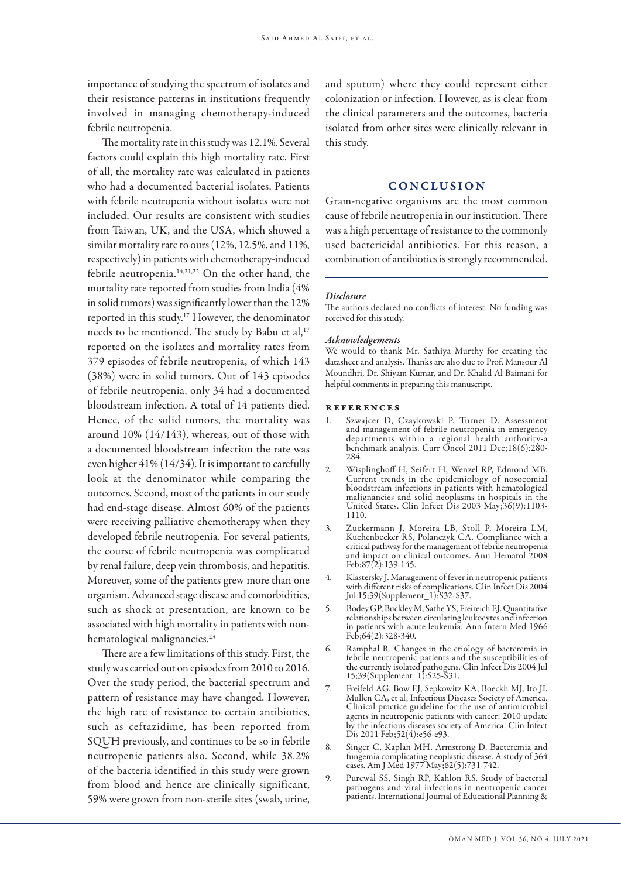importance of studying the spectrum of isolates and their resistance patterns in institutions frequently involved in managing chemotherapy-induced febrile neutropenia.

The mortality rate in this study was 12.1%. Several factors could explain this high mortality rate. First of all, the mortality rate was calculated in patients who had a documented bacterial isolates. Patients with febrile neutropenia without isolates were not included. Our results are consistent with studies from Taiwan, UK, and the USA, which showed a similar mortality rate to ours (12%, 12.5%, and 11%, respectively) in patients with chemotherapy-induced febrile neutropenia.14,21,22 On the other hand, the mortality rate reported from studies from India (4% in solid tumors) was significantly lower than the 12% reported in this study.17 However, the denominator needs to be mentioned. The study by Babu et al,<sup>17</sup> reported on the isolates and mortality rates from 379 episodes of febrile neutropenia, of which 143 (38%) were in solid tumors. Out of 143 episodes of febrile neutropenia, only 34 had a documented bloodstream infection. A total of 14 patients died. Hence, of the solid tumors, the mortality was around 10% (14/143), whereas, out of those with a documented bloodstream infection the rate was even higher 41% (14/34). It is important to carefully look at the denominator while comparing the outcomes. Second, most of the patients in our study had end-stage disease. Almost 60% of the patients were receiving palliative chemotherapy when they developed febrile neutropenia. For several patients, the course of febrile neutropenia was complicated by renal failure, deep vein thrombosis, and hepatitis. Moreover, some of the patients grew more than one organism. Advanced stage disease and comorbidities, such as shock at presentation, are known to be associated with high mortality in patients with nonhematological malignancies.<sup>23</sup>

There are a few limitations of this study. First, the study was carried out on episodes from 2010 to 2016. Over the study period, the bacterial spectrum and pattern of resistance may have changed. However, the high rate of resistance to certain antibiotics, such as ceftazidime, has been reported from SQUH previously, and continues to be so in febrile neutropenic patients also. Second, while 38.2% of the bacteria identified in this study were grown from blood and hence are clinically significant, 59% were grown from non-sterile sites (swab, urine, and sputum) where they could represent either colonization or infection. However, as is clear from the clinical parameters and the outcomes, bacteria isolated from other sites were clinically relevant in this study.

### CONCLUSION

Gram-negative organisms are the most common cause of febrile neutropenia in our institution. There was a high percentage of resistance to the commonly used bactericidal antibiotics. For this reason, a combination of antibiotics is strongly recommended.

### *Disclosure*

The authors declared no conflicts of interest. No funding was received for this study.

#### *Acknowledgements*

We would to thank Mr. Sathiya Murthy for creating the datasheet and analysis. Thanks are also due to Prof. Mansour Al Moundhri, Dr. Shiyam Kumar, and Dr. Khalid Al Baimani for helpful comments in preparing this manuscript.

### references

- Szwajcer D, Czaykowski P, Turner D. Assessment and management of febrile neutropenia in emergency departments within a regional health authority-a benchmark analysis. Curr Oncol 2011 Dec;18(6):280- 284.
- 2. Wisplinghoff H, Seifert H, Wenzel RP, Edmond MB. Current trends in the epidemiology of nosocomial bloodstream infections in patients with hematological malignancies and solid neoplasms in hospitals in the United States. Clin Infect Dis 2003 May;36(9):1103- 1110.
- 3. Zuckermann J, Moreira LB, Stoll P, Moreira LM, Kuchenbecker RS, Polanczyk CA. Compliance with a critical pathway for the management of febrile neutropenia and impact on clinical outcomes. Ann Hematol 2008 Feb;87(2):139-145.
- 4. Klastersky J. Management of fever in neutropenic patients with different risks of complications. Clin Infect Dis 2004 Jul 15;39(Supplement\_1):S32-S37.
- 5. Bodey GP, Buckley M, Sathe YS, Freireich EJ. Quantitative relationships between circulating leukocytes and infection in patients with acute leukemia. Ann Intern Med 1966 Feb;64(2):328-340.
- 6. Ramphal R. Changes in the etiology of bacteremia in febrile neutropenic patients and the susceptibilities of the currently isolated pathogens. Clin Infect Dis 2004 Jul 15;39(Supplement\_1):S25-S31.
- 7. Freifeld AG, Bow EJ, Sepkowitz KA, Boeckh MJ, Ito JI, Mullen CA, et al; Infectious Diseases Society of America. Clinical practice guideline for the use of antimicrobial agents in neutropenic patients with cancer: 2010 update by the infectious diseases society of America. Clin Infect Dis 2011 Feb;52(4):e56-e93.
- 8. Singer C, Kaplan MH, Armstrong D. Bacteremia and fungemia complicating neoplastic disease. A study of 364 cases. Am J Med 1977 May;62(5):731-742.
- 9. Purewal SS, Singh RP, Kahlon RS. Study of bacterial pathogens and viral infections in neutropenic cancer patients. International Journal of Educational Planning &